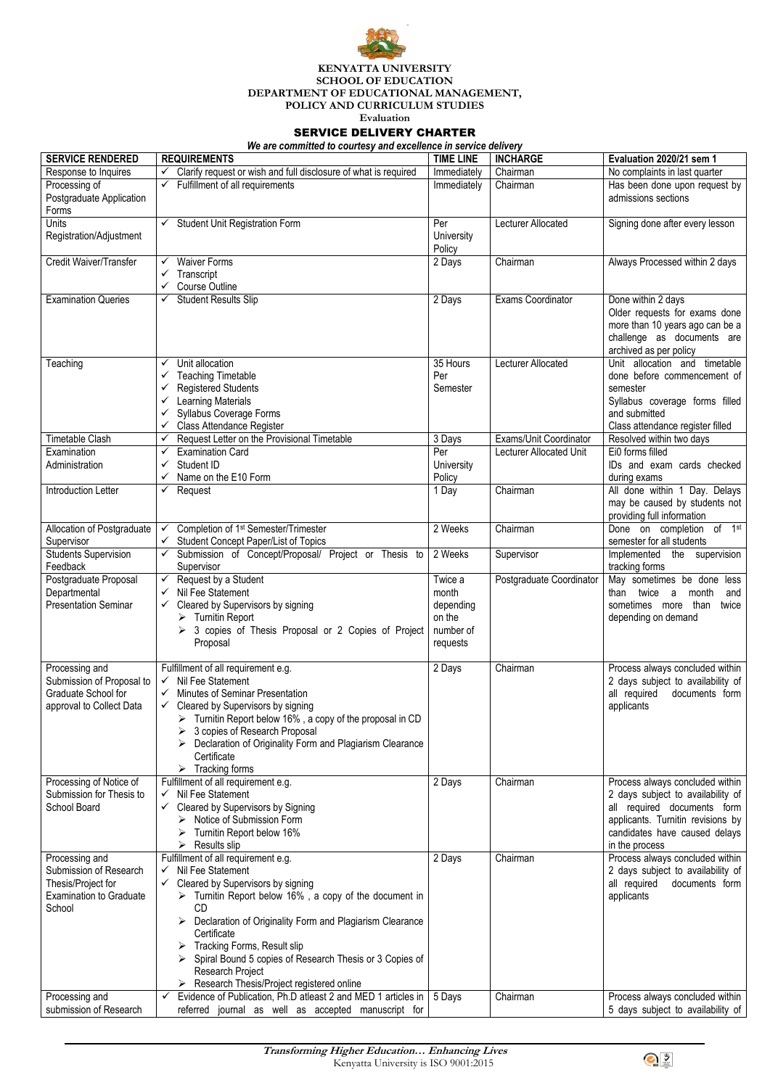**Transforming Higher Education… Enhancing Lives** Kenyatta University is ISO 9001:2015





## **KENYATTA UNIVERSITY SCHOOL OF EDUCATION DEPARTMENT OF EDUCATIONAL MANAGEMENT, POLICY AND CURRICULUM STUDIES**

**Evaluation** 

## SERVICE DELIVERY CHARTER

*We are committed to courtesy and excellence in service delivery*

| <b>SERVICE RENDERED</b>                             | <b>REQUIREMENTS</b>                                                                                      | <b>TIME LINE</b> | <b>INCHARGE</b>                | Evaluation 2020/21 sem 1                                             |
|-----------------------------------------------------|----------------------------------------------------------------------------------------------------------|------------------|--------------------------------|----------------------------------------------------------------------|
| Response to Inquires                                | Clarify request or wish and full disclosure of what is required<br>$\checkmark$                          | Immediately      | Chairman                       | No complaints in last quarter                                        |
| Processing of                                       | Fulfillment of all requirements                                                                          | Immediately      | Chairman                       | Has been done upon request by                                        |
| Postgraduate Application                            |                                                                                                          |                  |                                | admissions sections                                                  |
| Forms                                               |                                                                                                          |                  |                                |                                                                      |
| Units                                               | <b>Student Unit Registration Form</b>                                                                    | Per              | Lecturer Allocated             | Signing done after every lesson                                      |
| Registration/Adjustment                             |                                                                                                          | University       |                                |                                                                      |
| Credit Waiver/Transfer                              | <b>Waiver Forms</b>                                                                                      | Policy           | Chairman                       |                                                                      |
|                                                     | $\checkmark$<br>Transcript<br>✓                                                                          | 2 Days           |                                | Always Processed within 2 days                                       |
|                                                     | <b>Course Outline</b>                                                                                    |                  |                                |                                                                      |
| <b>Examination Queries</b>                          | <b>Student Results Slip</b><br>$\checkmark$                                                              | 2 Days           | <b>Exams Coordinator</b>       | Done within 2 days                                                   |
|                                                     |                                                                                                          |                  |                                | Older requests for exams done                                        |
|                                                     |                                                                                                          |                  |                                | more than 10 years ago can be a                                      |
|                                                     |                                                                                                          |                  |                                | challenge as documents are                                           |
|                                                     |                                                                                                          |                  |                                | archived as per policy                                               |
| Teaching                                            | Unit allocation<br>✓                                                                                     | 35 Hours         | Lecturer Allocated             | Unit allocation and timetable                                        |
|                                                     | <b>Teaching Timetable</b>                                                                                | Per              |                                | done before commencement of                                          |
|                                                     | <b>Registered Students</b>                                                                               | Semester         |                                | semester                                                             |
|                                                     | <b>Learning Materials</b><br><b>Syllabus Coverage Forms</b>                                              |                  |                                | Syllabus coverage forms filled<br>and submitted                      |
|                                                     | <b>Class Attendance Register</b>                                                                         |                  |                                | Class attendance register filled                                     |
| <b>Timetable Clash</b>                              | Request Letter on the Provisional Timetable<br>$\checkmark$                                              | 3 Days           | Exams/Unit Coordinator         | Resolved within two days                                             |
| Examination                                         | <b>Examination Card</b><br>✓                                                                             | Per              | <b>Lecturer Allocated Unit</b> | Ei0 forms filled                                                     |
| Administration                                      | Student ID                                                                                               | University       |                                | IDs and exam cards checked                                           |
|                                                     | Name on the E10 Form<br>$\checkmark$                                                                     | Policy           |                                | during exams                                                         |
| <b>Introduction Letter</b>                          | Request<br>✓                                                                                             | 1 Day            | Chairman                       | All done within 1 Day. Delays                                        |
|                                                     |                                                                                                          |                  |                                | may be caused by students not                                        |
|                                                     |                                                                                                          |                  |                                | providing full information                                           |
| Allocation of Postgraduate                          | Completion of 1 <sup>st</sup> Semester/Trimester                                                         | 2 Weeks          | Chairman                       | Done on completion of 1st<br>semester for all students               |
| Supervisor<br><b>Students Supervision</b>           | <b>Student Concept Paper/List of Topics</b><br>Submission of Concept/Proposal/ Project or Thesis to<br>✓ | 2 Weeks          | Supervisor                     | Implemented the supervision                                          |
| Feedback                                            | Supervisor                                                                                               |                  |                                | tracking forms                                                       |
| Postgraduate Proposal                               | Request by a Student<br>$\checkmark$                                                                     | Twice a          | Postgraduate Coordinator       | May sometimes be done less                                           |
| Departmental                                        | Nil Fee Statement                                                                                        | month            |                                | month<br>twice a<br>than<br>and                                      |
| <b>Presentation Seminar</b>                         | Cleared by Supervisors by signing                                                                        | depending        |                                | than<br>sometimes more<br>twice                                      |
|                                                     | <b>Turnitin Report</b>                                                                                   | on the           |                                | depending on demand                                                  |
|                                                     | 3 copies of Thesis Proposal or 2 Copies of Project                                                       | number of        |                                |                                                                      |
|                                                     | Proposal                                                                                                 | requests         |                                |                                                                      |
|                                                     |                                                                                                          |                  |                                |                                                                      |
| Processing and<br>Submission of Proposal to         | Fulfillment of all requirement e.g.<br>Nil Fee Statement<br>$\checkmark$                                 | 2 Days           | Chairman                       | Process always concluded within<br>2 days subject to availability of |
| Graduate School for                                 | <b>Minutes of Seminar Presentation</b>                                                                   |                  |                                | all required<br>documents form                                       |
| approval to Collect Data                            | Cleared by Supervisors by signing<br>$\checkmark$                                                        |                  |                                | applicants                                                           |
|                                                     | Turnitin Report below 16%, a copy of the proposal in CD<br>➤                                             |                  |                                |                                                                      |
|                                                     | 3 copies of Research Proposal                                                                            |                  |                                |                                                                      |
|                                                     | Declaration of Originality Form and Plagiarism Clearance                                                 |                  |                                |                                                                      |
|                                                     | Certificate                                                                                              |                  |                                |                                                                      |
|                                                     | Tracking forms<br>≻                                                                                      |                  |                                |                                                                      |
| Processing of Notice of<br>Submission for Thesis to | Fulfillment of all requirement e.g.<br>Nil Fee Statement<br>$\checkmark$                                 | 2 Days           | Chairman                       | Process always concluded within<br>2 days subject to availability of |
| <b>School Board</b>                                 | Cleared by Supervisors by Signing<br>$\checkmark$                                                        |                  |                                | all required documents form                                          |
|                                                     | Notice of Submission Form                                                                                |                  |                                | applicants. Turnitin revisions by                                    |
|                                                     | Turnitin Report below 16%                                                                                |                  |                                | candidates have caused delays                                        |
|                                                     | <b>Results slip</b><br>$\blacktriangleright$                                                             |                  |                                | in the process                                                       |
| Processing and                                      | Fulfillment of all requirement e.g.                                                                      | 2 Days           | Chairman                       | Process always concluded within                                      |
| Submission of Research                              | Nil Fee Statement<br>$\checkmark$                                                                        |                  |                                | 2 days subject to availability of                                    |
| Thesis/Project for                                  | Cleared by Supervisors by signing                                                                        |                  |                                | all required<br>documents form                                       |
| <b>Examination to Graduate</b><br>School            | $\triangleright$ Turnitin Report below 16%, a copy of the document in<br><b>CD</b>                       |                  |                                | applicants                                                           |
|                                                     | Declaration of Originality Form and Plagiarism Clearance                                                 |                  |                                |                                                                      |
|                                                     | Certificate                                                                                              |                  |                                |                                                                      |
|                                                     | <b>Tracking Forms, Result slip</b>                                                                       |                  |                                |                                                                      |
|                                                     | Spiral Bound 5 copies of Research Thesis or 3 Copies of<br>➤                                             |                  |                                |                                                                      |
|                                                     | Research Project                                                                                         |                  |                                |                                                                      |
|                                                     | $\triangleright$ Research Thesis/Project registered online                                               |                  |                                |                                                                      |
| Processing and                                      | Evidence of Publication, Ph.D atleast 2 and MED 1 articles in<br>$\checkmark$                            | 5 Days           | Chairman                       | Process always concluded within                                      |
| submission of Research                              | referred journal as well as accepted manuscript for                                                      |                  |                                | 5 days subject to availability of                                    |